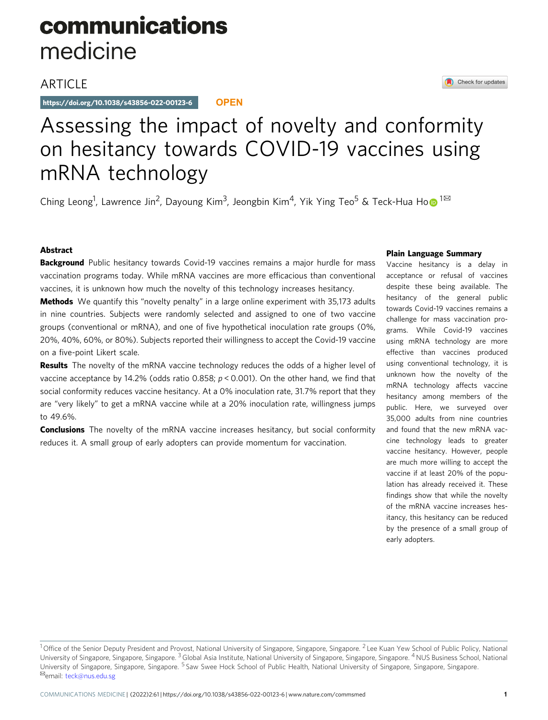# communications medicine

## **ARTICLE**

https://doi.org/10.1038/s43856-022-00123-6 **OPEN**

## Check for updates

# Assessing the impact of novelty and conformity on hesitancy towards COVID-19 vaccines using mRNA technology

Ching Le[o](http://orcid.org/0000-0001-5210-4977)ng<sup>1</sup>, Lawrence Jin<sup>2</sup>, Dayoung Kim<sup>3</sup>, Jeongbin Kim<sup>4</sup>, Yik Ying Teo<sup>5</sup> & Teck-Hua Ho $\bullet$ <sup>1⊠</sup>

### Abstract

**Background** Public hesitancy towards Covid-19 vaccines remains a major hurdle for mass vaccination programs today. While mRNA vaccines are more efficacious than conventional vaccines, it is unknown how much the novelty of this technology increases hesitancy.

**Methods** We quantify this "novelty penalty" in a large online experiment with 35,173 adults in nine countries. Subjects were randomly selected and assigned to one of two vaccine groups (conventional or mRNA), and one of five hypothetical inoculation rate groups (0%, 20%, 40%, 60%, or 80%). Subjects reported their willingness to accept the Covid-19 vaccine on a five-point Likert scale.

**Results** The novelty of the mRNA vaccine technology reduces the odds of a higher level of vaccine acceptance by 14.2% (odds ratio 0.858; p < 0.001). On the other hand, we find that social conformity reduces vaccine hesitancy. At a 0% inoculation rate, 31.7% report that they are "very likely" to get a mRNA vaccine while at a 20% inoculation rate, willingness jumps to 49.6%.

**Conclusions** The novelty of the mRNA vaccine increases hesitancy, but social conformity reduces it. A small group of early adopters can provide momentum for vaccination.

#### Plain Language Summary

Vaccine hesitancy is a delay in acceptance or refusal of vaccines despite these being available. The hesitancy of the general public towards Covid-19 vaccines remains a challenge for mass vaccination programs. While Covid-19 vaccines using mRNA technology are more effective than vaccines produced using conventional technology, it is unknown how the novelty of the mRNA technology affects vaccine hesitancy among members of the public. Here, we surveyed over 35,000 adults from nine countries and found that the new mRNA vaccine technology leads to greater vaccine hesitancy. However, people are much more willing to accept the vaccine if at least 20% of the population has already received it. These findings show that while the novelty of the mRNA vaccine increases hesitancy, this hesitancy can be reduced by the presence of a small group of early adopters.

<sup>&</sup>lt;sup>1</sup> Office of the Senior Deputy President and Provost, National University of Singapore, Singapore, Singapore. <sup>2</sup> Lee Kuan Yew School of Public Policy, National University of Singapore, Singapore, Singapore. <sup>3</sup> Global Asia Institute, National University of Singapore, Singapore, Singapore. <sup>4</sup> NUS Business School, National University of Singapore, Singapore, Singapore. <sup>5</sup> Saw Swee Hock School of Public Health, National University of Singapore, Singapore, Singapore.<br><sup>⊠</sup>email: [teck@nus.edu.sg](mailto:teck@nus.edu.sg)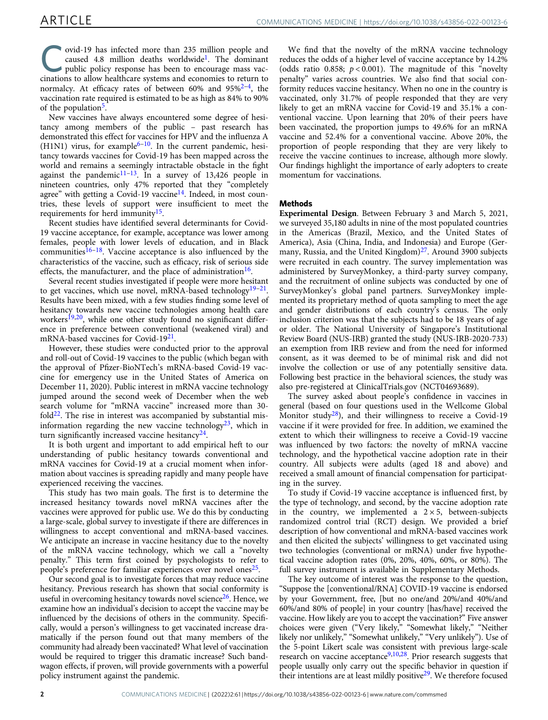ovid-19 has infected more than 235 million people and caused 4.8 million deaths worldwide<sup>1</sup>. The dominant public policy response has been to encourage mass vac-<br>cinations to allow habitance and the end of encourage mass v caused 4.8 million deaths worldwide[1.](#page-4-0) The dominant cinations to allow healthcare systems and economies to return to normalcy. At efficacy rates of between 60% and  $95\frac{2-4}{1}$  $95\frac{2-4}{1}$  $95\frac{2-4}{1}$ , the vaccination rate required is estimated to be as high as 84% to 90% of the population<sup>5</sup>.

New vaccines have always encountered some degree of hesitancy among members of the public – past research has demonstrated this effect for vaccines for HPV and the influenza A  $(H1N1)$  virus, for example<sup>[6](#page-5-0)–10</sup>. In the current pandemic, hesitancy towards vaccines for Covid-19 has been mapped across the world and remains a seemingly intractable obstacle in the fight against the pandemic $11-13$  $11-13$ . In a survey of 13,426 people in nineteen countries, only 47% reported that they "completely agree" with getting a Covid-19 vaccine<sup>[14](#page-5-0)</sup>. Indeed, in most countries, these levels of support were insufficient to meet the requirements for herd immunity<sup>[15](#page-5-0)</sup>.

Recent studies have identified several determinants for Covid-19 vaccine acceptance, for example, acceptance was lower among females, people with lower levels of education, and in Black communities $16-18$  $16-18$  $16-18$ . Vaccine acceptance is also influenced by the characteristics of the vaccine, such as efficacy, risk of serious side effects, the manufacturer, and the place of administration<sup>16</sup>.

Several recent studies investigated if people were more hesitant to get vaccines, which use novel, mRNA-based technology $19-21$  $19-21$ . Results have been mixed, with a few studies finding some level of hesitancy towards new vaccine technologies among health care workers<sup>19,20</sup>, while one other study found no significant difference in preference between conventional (weakened viral) and mRNA-based vaccines for Covid-19<sup>[21](#page-5-0)</sup>.

However, these studies were conducted prior to the approval and roll-out of Covid-19 vaccines to the public (which began with the approval of Pfizer-BioNTech's mRNA-based Covid-19 vaccine for emergency use in the United States of America on December 11, 2020). Public interest in mRNA vaccine technology jumped around the second week of December when the web search volume for "mRNA vaccine" increased more than 30 fold $22$ . The rise in interest was accompanied by substantial misinformation regarding the new vaccine technology<sup>23</sup>, which in turn significantly increased vaccine hesitancy<sup>24</sup>.

It is both urgent and important to add empirical heft to our understanding of public hesitancy towards conventional and mRNA vaccines for Covid-19 at a crucial moment when information about vaccines is spreading rapidly and many people have experienced receiving the vaccines.

This study has two main goals. The first is to determine the increased hesitancy towards novel mRNA vaccines after the vaccines were approved for public use. We do this by conducting a large-scale, global survey to investigate if there are differences in willingness to accept conventional and mRNA-based vaccines. We anticipate an increase in vaccine hesitancy due to the novelty of the mRNA vaccine technology, which we call a "novelty penalty." This term first coined by psychologists to refer to people's preference for familiar experiences over novel ones<sup>25</sup>.

Our second goal is to investigate forces that may reduce vaccine hesitancy. Previous research has shown that social conformity is useful in overcoming hesitancy towards novel science<sup>26</sup>. Hence, we examine how an individual's decision to accept the vaccine may be influenced by the decisions of others in the community. Specifically, would a person's willingness to get vaccinated increase dramatically if the person found out that many members of the community had already been vaccinated? What level of vaccination would be required to trigger this dramatic increase? Such bandwagon effects, if proven, will provide governments with a powerful policy instrument against the pandemic.

We find that the novelty of the mRNA vaccine technology reduces the odds of a higher level of vaccine acceptance by 14.2% (odds ratio 0.858;  $p < 0.001$ ). The magnitude of this "novelty penalty" varies across countries. We also find that social conformity reduces vaccine hesitancy. When no one in the country is vaccinated, only 31.7% of people responded that they are very likely to get an mRNA vaccine for Covid-19 and 35.1% a conventional vaccine. Upon learning that 20% of their peers have been vaccinated, the proportion jumps to 49.6% for an mRNA vaccine and 52.4% for a conventional vaccine. Above 20%, the proportion of people responding that they are very likely to receive the vaccine continues to increase, although more slowly. Our findings highlight the importance of early adopters to create momentum for vaccinations.

#### Methods

Experimental Design. Between February 3 and March 5, 2021, we surveyed 35,180 adults in nine of the most populated countries in the Americas (Brazil, Mexico, and the United States of America), Asia (China, India, and Indonesia) and Europe (Ger-many, Russia, and the United Kingdom)<sup>[27](#page-5-0)</sup>. Around 3900 subjects were recruited in each country. The survey implementation was administered by SurveyMonkey, a third-party survey company, and the recruitment of online subjects was conducted by one of SurveyMonkey's global panel partners. SurveyMonkey implemented its proprietary method of quota sampling to meet the age and gender distributions of each country's census. The only inclusion criterion was that the subjects had to be 18 years of age or older. The National University of Singapore's Institutional Review Board (NUS-IRB) granted the study (NUS-IRB-2020-733) an exemption from IRB review and from the need for informed consent, as it was deemed to be of minimal risk and did not involve the collection or use of any potentially sensitive data. Following best practice in the behavioral sciences, the study was also pre-registered at ClinicalTrials.gov (NCT04693689).

The survey asked about people's confidence in vaccines in general (based on four questions used in the Wellcome Global Monitor study<sup>28</sup>), and their willingness to receive a Covid-19 vaccine if it were provided for free. In addition, we examined the extent to which their willingness to receive a Covid-19 vaccine was influenced by two factors: the novelty of mRNA vaccine technology, and the hypothetical vaccine adoption rate in their country. All subjects were adults (aged 18 and above) and received a small amount of financial compensation for participating in the survey.

To study if Covid-19 vaccine acceptance is influenced first, by the type of technology, and second, by the vaccine adoption rate in the country, we implemented a  $2 \times 5$ , between-subjects randomized control trial (RCT) design. We provided a brief description of how conventional and mRNA-based vaccines work and then elicited the subjects' willingness to get vaccinated using two technologies (conventional or mRNA) under five hypothetical vaccine adoption rates (0%, 20%, 40%, 60%, or 80%). The full survey instrument is available in Supplementary Methods.

The key outcome of interest was the response to the question, "Suppose the [conventional/RNA] COVID-19 vaccine is endorsed by your Government, free, [but no one/and 20%/and 40%/and 60%/and 80% of people] in your country [has/have] received the vaccine. How likely are you to accept the vaccination?" Five answer choices were given ("Very likely," "Somewhat likely," "Neither likely nor unlikely," "Somewhat unlikely," "Very unlikely"). Use of the 5-point Likert scale was consistent with previous large-scale research on vaccine acceptance<sup>9,10,28</sup>. Prior research suggests that people usually only carry out the specific behavior in question if their intentions are at least mildly positive<sup>29</sup>. We therefore focused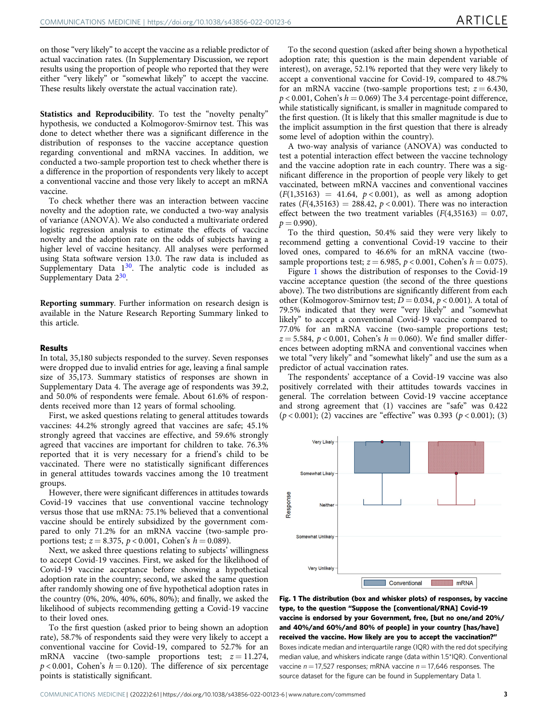on those "very likely" to accept the vaccine as a reliable predictor of actual vaccination rates. (In Supplementary Discussion, we report results using the proportion of people who reported that they were either "very likely" or "somewhat likely" to accept the vaccine. These results likely overstate the actual vaccination rate).

Statistics and Reproducibility. To test the "novelty penalty" hypothesis, we conducted a Kolmogorov-Smirnov test. This was done to detect whether there was a significant difference in the distribution of responses to the vaccine acceptance question regarding conventional and mRNA vaccines. In addition, we conducted a two-sample proportion test to check whether there is a difference in the proportion of respondents very likely to accept a conventional vaccine and those very likely to accept an mRNA vaccine.

To check whether there was an interaction between vaccine novelty and the adoption rate, we conducted a two-way analysis of variance (ANOVA). We also conducted a multivariate ordered logistic regression analysis to estimate the effects of vaccine novelty and the adoption rate on the odds of subjects having a higher level of vaccine hesitancy. All analyses were performed using Stata software version 13.0. The raw data is included as Supplementary Data  $1^{30}$  $1^{30}$  $1^{30}$ . The analytic code is included as Supplementary Data  $2^{30}$ .

Reporting summary. Further information on research design is available in the Nature Research Reporting Summary linked to this article.

#### Results

In total, 35,180 subjects responded to the survey. Seven responses were dropped due to invalid entries for age, leaving a final sample size of 35,173. Summary statistics of responses are shown in Supplementary Data 4. The average age of respondents was 39.2, and 50.0% of respondents were female. About 61.6% of respondents received more than 12 years of formal schooling.

First, we asked questions relating to general attitudes towards vaccines: 44.2% strongly agreed that vaccines are safe; 45.1% strongly agreed that vaccines are effective, and 59.6% strongly agreed that vaccines are important for children to take. 76.3% reported that it is very necessary for a friend's child to be vaccinated. There were no statistically significant differences in general attitudes towards vaccines among the 10 treatment groups.

However, there were significant differences in attitudes towards Covid-19 vaccines that use conventional vaccine technology versus those that use mRNA: 75.1% believed that a conventional vaccine should be entirely subsidized by the government compared to only 71.2% for an mRNA vaccine (two-sample proportions test;  $z = 8.375$ ,  $p < 0.001$ , Cohen's  $h = 0.089$ ).

Next, we asked three questions relating to subjects' willingness to accept Covid-19 vaccines. First, we asked for the likelihood of Covid-19 vaccine acceptance before showing a hypothetical adoption rate in the country; second, we asked the same question after randomly showing one of five hypothetical adoption rates in the country (0%, 20%, 40%, 60%, 80%); and finally, we asked the likelihood of subjects recommending getting a Covid-19 vaccine to their loved ones.

To the first question (asked prior to being shown an adoption rate), 58.7% of respondents said they were very likely to accept a conventional vaccine for Covid-19, compared to 52.7% for an mRNA vaccine (two-sample proportions test;  $z = 11.274$ ,  $p < 0.001$ , Cohen's  $h = 0.120$ ). The difference of six percentage points is statistically significant.

To the second question (asked after being shown a hypothetical adoption rate; this question is the main dependent variable of interest), on average, 52.1% reported that they were very likely to accept a conventional vaccine for Covid-19, compared to 48.7% for an mRNA vaccine (two-sample proportions test;  $z = 6.430$ ,  $p < 0.001$ , Cohen's  $h = 0.069$  The 3.4 percentage-point difference, while statistically significant, is smaller in magnitude compared to the first question. (It is likely that this smaller magnitude is due to the implicit assumption in the first question that there is already some level of adoption within the country).

A two-way analysis of variance (ANOVA) was conducted to test a potential interaction effect between the vaccine technology and the vaccine adoption rate in each country. There was a significant difference in the proportion of people very likely to get vaccinated, between mRNA vaccines and conventional vaccines  $(F(1,35163) = 41.64, p < 0.001)$ , as well as among adoption rates  $(F(4,35163) = 288.42, p < 0.001)$ . There was no interaction effect between the two treatment variables  $(F(4,35163) = 0.07,$  $p = 0.990$ ).

To the third question, 50.4% said they were very likely to recommend getting a conventional Covid-19 vaccine to their loved ones, compared to 46.6% for an mRNA vaccine (twosample proportions test;  $z = 6.985$ ,  $p < 0.001$ , Cohen's  $h = 0.075$ ).

Figure 1 shows the distribution of responses to the Covid-19 vaccine acceptance question (the second of the three questions above). The two distributions are significantly different from each other (Kolmogorov-Smirnov test;  $\overline{D} = 0.034$ ,  $p < 0.001$ ). A total of 79.5% indicated that they were "very likely" and "somewhat likely" to accept a conventional Covid-19 vaccine compared to 77.0% for an mRNA vaccine (two-sample proportions test;  $z = 5.584$ ,  $p < 0.001$ , Cohen's  $h = 0.060$ ). We find smaller differences between adopting mRNA and conventional vaccines when we total "very likely" and "somewhat likely" and use the sum as a predictor of actual vaccination rates.

The respondents' acceptance of a Covid-19 vaccine was also positively correlated with their attitudes towards vaccines in general. The correlation between Covid-19 vaccine acceptance and strong agreement that (1) vaccines are "safe" was 0.422  $(p < 0.001)$ ; (2) vaccines are "effective" was 0.393 ( $p < 0.001$ ); (3)



Fig. 1 The distribution (box and whisker plots) of responses, by vaccine type, to the question "Suppose the [conventional/RNA] Covid-19 vaccine is endorsed by your Government, free, [but no one/and 20%/ and 40%/and 60%/and 80% of people] in your country [has/have] received the vaccine. How likely are you to accept the vaccination?" Boxes indicate median and interquartile range (IQR) with the red dot specifying median value, and whiskers indicate range (data within 1.5\*IQR). Conventional vaccine  $n = 17,527$  responses; mRNA vaccine  $n = 17,646$  responses. The source dataset for the figure can be found in Supplementary Data 1.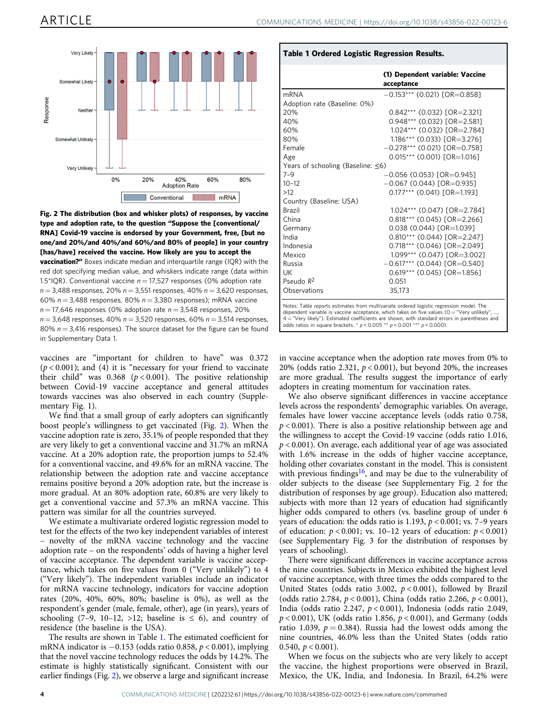

Fig. 2 The distribution (box and whisker plots) of responses, by vaccine type and adoption rate, to the question "Suppose the [conventional/ RNA] Covid-19 vaccine is endorsed by your Government, free, [but no one/and 20%/and 40%/and 60%/and 80% of people] in your country [has/have] received the vaccine. How likely are you to accept the **vaccination?"** Boxes indicate median and interquartile range (IQR) with the red dot specifying median value, and whiskers indicate range (data within 1.5\*IQR). Conventional vaccine  $n = 17,527$  responses (0% adoption rate  $n = 3,488$  responses, 20%  $n = 3,551$  responses, 40%  $n = 3,620$  responses, 60%  $n = 3,488$  responses, 80%  $n = 3,380$  responses); mRNA vaccine  $n = 17,646$  responses (0% adoption rate  $n = 3,548$  responses, 20%

 $n = 3,648$  responses, 40%  $n = 3,520$  responses, 60%  $n = 3,514$  responses, 80%  $n = 3.416$  responses). The source dataset for the figure can be found in Supplementary Data 1.

vaccines are "important for children to have" was 0.372  $(p < 0.001)$ ; and (4) it is "necessary for your friend to vaccinate their child" was  $0.368$  ( $p < 0.001$ ). The positive relationship between Covid-19 vaccine acceptance and general attitudes towards vaccines was also observed in each country (Supplementary Fig. 1).

We find that a small group of early adopters can significantly boost people's willingness to get vaccinated (Fig. 2). When the vaccine adoption rate is zero, 35.1% of people responded that they are very likely to get a conventional vaccine and 31.7% an mRNA vaccine. At a 20% adoption rate, the proportion jumps to 52.4% for a conventional vaccine, and 49.6% for an mRNA vaccine. The relationship between the adoption rate and vaccine acceptance remains positive beyond a 20% adoption rate, but the increase is more gradual. At an 80% adoption rate, 60.8% are very likely to get a conventional vaccine and 57.3% an mRNA vaccine. This pattern was similar for all the countries surveyed.

We estimate a multivariate ordered logistic regression model to test for the effects of the two key independent variables of interest – novelty of the mRNA vaccine technology and the vaccine adoption rate – on the respondents' odds of having a higher level of vaccine acceptance. The dependent variable is vaccine acceptance, which takes on five values from 0 ("Very unlikely") to 4 ("Very likely"). The independent variables include an indicator for mRNA vaccine technology, indicators for vaccine adoption rates (20%, 40%, 60%, 80%; baseline is 0%), as well as the respondent's gender (male, female, other), age (in years), years of schooling (7–9, 10–12, >12; baseline is  $\leq$  6), and country of residence (the baseline is the USA).

The results are shown in Table 1. The estimated coefficient for mRNA indicator is −0.153 (odds ratio 0.858, p < 0.001), implying that the novel vaccine technology reduces the odds by 14.2%. The estimate is highly statistically significant. Consistent with our earlier findings (Fig. 2), we observe a large and significant increase

Table 1 Ordered Logistic Regression Results.

| mRNA                                     | acceptance<br>$-0.153***$ (0.021) [OR=0.858] |
|------------------------------------------|----------------------------------------------|
|                                          |                                              |
| Adoption rate (Baseline: 0%)<br>20%      | $0.842***$ (0.032) $TOR = 2.3211$            |
| 40%                                      | $0.948***$ (0.032) [OR=2.581]                |
| 60%                                      | 1.024*** (0.032) [OR=2.784]                  |
| 80%                                      | 1.186*** (0.033) [OR=3.276]                  |
| Female                                   | $-0.278***$ (0.021) [OR=0.758]               |
| Age                                      | $0.015***$ (0.001) [OR=1.016]                |
| Years of schooling (Baseline: $\leq 6$ ) |                                              |
| $7 - 9$                                  | $-0.056$ (0.053) [OR=0.945]                  |
| $10 - 12$                                | $-0.067$ (0.044) $\text{TOR} = 0.9351$       |
| $>12$                                    | $0.177***$ (0.041) $TOR=1.1931$              |
| Country (Baseline: USA)                  |                                              |
| Brazil                                   | 1.024*** (0.047) [OR=2.784]                  |
| China                                    | $0.818***$ (0.045) $TOR = 2.2661$            |
| Germany                                  | 0.038 (0.044) [OR=1.039]                     |
| India                                    | $0.810***$ (0.044) [OR=2.247]                |
| Indonesia                                | $0.718***$ (0.046) [OR=2.049]                |
| Mexico                                   | 1.099*** (0.047) [OR=3.002]                  |
| Russia                                   | $-0.617***$ (0.044) [OR=0.540]               |
| UK                                       | $0.619***$ (0.045) [OR=1.856]                |
| Pseudo $R^2$                             | 0.051                                        |
| Observations                             | 35.173                                       |

in vaccine acceptance when the adoption rate moves from 0% to 20% (odds ratio 2.321,  $p < 0.001$ ), but beyond 20%, the increases are more gradual. The results suggest the importance of early adopters in creating momentum for vaccination rates.

We also observe significant differences in vaccine acceptance levels across the respondents' demographic variables. On average, females have lower vaccine acceptance levels (odds ratio 0.758,  $p < 0.001$ ). There is also a positive relationship between age and the willingness to accept the Covid-19 vaccine (odds ratio 1.016,  $p$  < 0.001). On average, each additional year of age was associated with 1.6% increase in the odds of higher vaccine acceptance, holding other covariates constant in the model. This is consistent with previous findings<sup>16</sup>, and may be due to the vulnerability of older subjects to the disease (see Supplementary Fig. 2 for the distribution of responses by age group). Education also mattered; subjects with more than 12 years of education had significantly higher odds compared to others (vs. baseline group of under 6 years of education: the odds ratio is 1.193,  $p < 0.001$ ; vs. 7–9 years of education:  $p < 0.001$ ; vs. 10-12 years of education:  $p < 0.001$ ) (see Supplementary Fig. 3 for the distribution of responses by years of schooling).

There were significant differences in vaccine acceptance across the nine countries. Subjects in Mexico exhibited the highest level of vaccine acceptance, with three times the odds compared to the United States (odds ratio 3.002,  $p < 0.001$ ), followed by Brazil (odds ratio 2.784,  $p < 0.001$ ), China (odds ratio 2.266,  $p < 0.001$ ), India (odds ratio 2.247, p < 0.001), Indonesia (odds ratio 2.049,  $p$  < 0.001), UK (odds ratio 1.856,  $p$  < 0.001), and Germany (odds ratio 1.039,  $p = 0.384$ ). Russia had the lowest odds among the nine countries, 46.0% less than the United States (odds ratio 0.540,  $p < 0.001$ ).

When we focus on the subjects who are very likely to accept the vaccine, the highest proportions were observed in Brazil, Mexico, the UK, India, and Indonesia. In Brazil, 64.2% were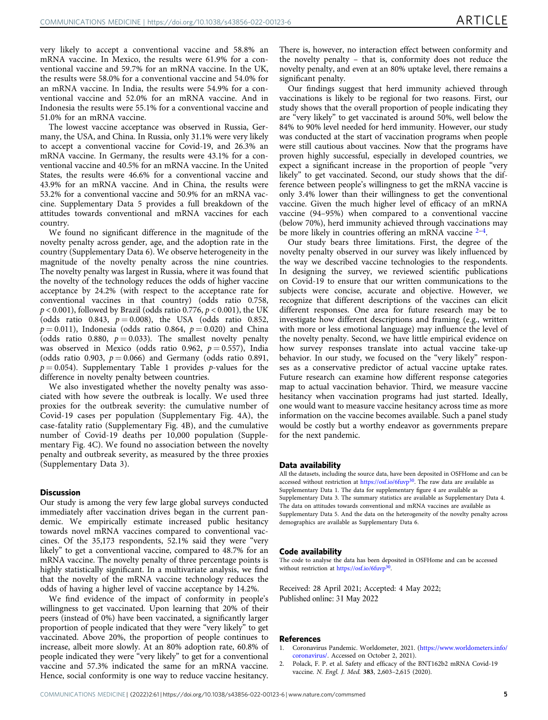<span id="page-4-0"></span>very likely to accept a conventional vaccine and 58.8% an mRNA vaccine. In Mexico, the results were 61.9% for a conventional vaccine and 59.7% for an mRNA vaccine. In the UK, the results were 58.0% for a conventional vaccine and 54.0% for an mRNA vaccine. In India, the results were 54.9% for a conventional vaccine and 52.0% for an mRNA vaccine. And in Indonesia the results were 55.1% for a conventional vaccine and 51.0% for an mRNA vaccine.

The lowest vaccine acceptance was observed in Russia, Germany, the USA, and China. In Russia, only 31.1% were very likely to accept a conventional vaccine for Covid-19, and 26.3% an mRNA vaccine. In Germany, the results were 43.1% for a conventional vaccine and 40.5% for an mRNA vaccine. In the United States, the results were 46.6% for a conventional vaccine and 43.9% for an mRNA vaccine. And in China, the results were 53.2% for a conventional vaccine and 50.9% for an mRNA vaccine. Supplementary Data 5 provides a full breakdown of the attitudes towards conventional and mRNA vaccines for each country.

We found no significant difference in the magnitude of the novelty penalty across gender, age, and the adoption rate in the country (Supplementary Data 6). We observe heterogeneity in the magnitude of the novelty penalty across the nine countries. The novelty penalty was largest in Russia, where it was found that the novelty of the technology reduces the odds of higher vaccine acceptance by 24.2% (with respect to the acceptance rate for conventional vaccines in that country) (odds ratio 0.758,  $p < 0.001$ ), followed by Brazil (odds ratio 0.776,  $p < 0.001$ ), the UK (odds ratio 0.843,  $p = 0.008$ ), the USA (odds ratio 0.852,  $p = 0.011$ ), Indonesia (odds ratio 0.864,  $p = 0.020$ ) and China (odds ratio 0.880,  $p = 0.033$ ). The smallest novelty penalty was observed in Mexico (odds ratio 0.962,  $p = 0.557$ ), India (odds ratio 0.903,  $p = 0.066$ ) and Germany (odds ratio 0.891,  $p = 0.054$ ). Supplementary Table 1 provides p-values for the difference in novelty penalty between countries.

We also investigated whether the novelty penalty was associated with how severe the outbreak is locally. We used three proxies for the outbreak severity: the cumulative number of Covid-19 cases per population (Supplementary Fig. 4A), the case-fatality ratio (Supplementary Fig. 4B), and the cumulative number of Covid-19 deaths per 10,000 population (Supplementary Fig. 4C). We found no association between the novelty penalty and outbreak severity, as measured by the three proxies (Supplementary Data 3).

#### **Discussion**

Our study is among the very few large global surveys conducted immediately after vaccination drives began in the current pandemic. We empirically estimate increased public hesitancy towards novel mRNA vaccines compared to conventional vaccines. Of the 35,173 respondents, 52.1% said they were "very likely" to get a conventional vaccine, compared to 48.7% for an mRNA vaccine. The novelty penalty of three percentage points is highly statistically significant. In a multivariate analysis, we find that the novelty of the mRNA vaccine technology reduces the odds of having a higher level of vaccine acceptance by 14.2%.

We find evidence of the impact of conformity in people's willingness to get vaccinated. Upon learning that 20% of their peers (instead of 0%) have been vaccinated, a significantly larger proportion of people indicated that they were "very likely" to get vaccinated. Above 20%, the proportion of people continues to increase, albeit more slowly. At an 80% adoption rate, 60.8% of people indicated they were "very likely" to get for a conventional vaccine and 57.3% indicated the same for an mRNA vaccine. Hence, social conformity is one way to reduce vaccine hesitancy.

There is, however, no interaction effect between conformity and the novelty penalty – that is, conformity does not reduce the novelty penalty, and even at an 80% uptake level, there remains a significant penalty.

Our findings suggest that herd immunity achieved through vaccinations is likely to be regional for two reasons. First, our study shows that the overall proportion of people indicating they are "very likely" to get vaccinated is around 50%, well below the 84% to 90% level needed for herd immunity. However, our study was conducted at the start of vaccination programs when people were still cautious about vaccines. Now that the programs have proven highly successful, especially in developed countries, we expect a significant increase in the proportion of people "very likely" to get vaccinated. Second, our study shows that the difference between people's willingness to get the mRNA vaccine is only 3.4% lower than their willingness to get the conventional vaccine. Given the much higher level of efficacy of an mRNA vaccine (94–95%) when compared to a conventional vaccine (below 70%), herd immunity achieved through vaccinations may be more likely in countries offering an mRNA vaccine  $2-4$ .

Our study bears three limitations. First, the degree of the novelty penalty observed in our survey was likely influenced by the way we described vaccine technologies to the respondents. In designing the survey, we reviewed scientific publications on Covid-19 to ensure that our written communications to the subjects were concise, accurate and objective. However, we recognize that different descriptions of the vaccines can elicit different responses. One area for future research may be to investigate how different descriptions and framing (e.g., written with more or less emotional language) may influence the level of the novelty penalty. Second, we have little empirical evidence on how survey responses translate into actual vaccine take-up behavior. In our study, we focused on the "very likely" responses as a conservative predictor of actual vaccine uptake rates. Future research can examine how different response categories map to actual vaccination behavior. Third, we measure vaccine hesitancy when vaccination programs had just started. Ideally, one would want to measure vaccine hesitancy across time as more information on the vaccine becomes available. Such a panel study would be costly but a worthy endeavor as governments prepare for the next pandemic.

#### Data availability

All the datasets, including the source data, have been deposited in OSFHome and can be accessed without restriction at <https://osf.io/6fuvp><sup>[30](#page-5-0)</sup>. The raw data are available as Supplementary Data 1. The data for supplementary figure 4 are available as Supplementary Data 3. The summary statistics are available as Supplementary Data 4. The data on attitudes towards conventional and mRNA vaccines are available as Supplementary Data 5. And the data on the heterogeneity of the novelty penalty across demographics are available as Supplementary Data 6.

#### Code availability

The code to analyse the data has been deposited in OSFHome and can be accessed without restriction at <https://osf.io/6fuvp><sup>[30](#page-5-0)</sup>

Received: 28 April 2021; Accepted: 4 May 2022; Published online: 31 May 2022

#### References

- 1. Coronavirus Pandemic. Worldometer, 2021. [\(https://www.worldometers.info/](https://www.worldometers.info/coronavirus/) [coronavirus/.](https://www.worldometers.info/coronavirus/) Accessed on October 2, 2021).
- 2. Polack, F. P. et al. Safety and efficacy of the BNT162b2 mRNA Covid-19 vaccine. N. Engl. J. Med. 383, 2,603–2,615 (2020).